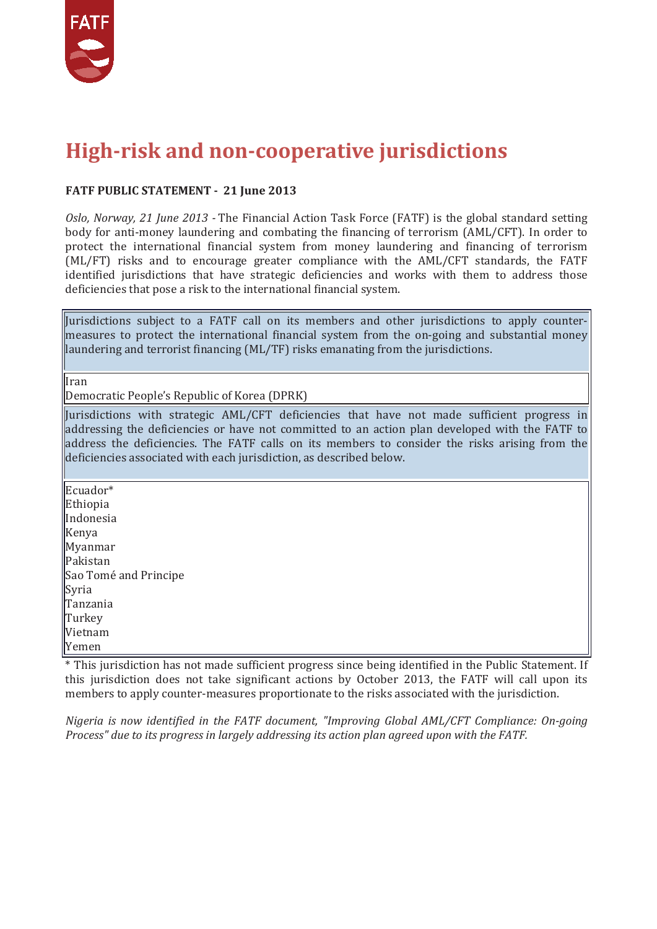

#### **High-risk and non-cooperative jurisdictions**

#### **FATF PUBLIC STATEMENT - 21 June 2013**

*Oslo, Norway, 21 June 2013 -* The Financial Action Task Force (FATF) is the global standard setting body for anti-money laundering and combating the financing of terrorism (AML/CFT). In order to protect the international financial system from money laundering and financing of terrorism (ML/FT) risks and to encourage greater compliance with the AML/CFT standards, the FATF identified jurisdictions that have strategic deficiencies and works with them to address those deficiencies that pose a risk to the international financial system.

Jurisdictions subject to a FATF call on its members and other jurisdictions to apply countermeasures to protect the international financial system from the on-going and substantial money laundering and terrorist financing (ML/TF) risks emanating from the jurisdictions.

Iran

Democratic People's Republic of Korea (DPRK)

Jurisdictions with strategic AML/CFT deficiencies that have not made sufficient progress in addressing the deficiencies or have not committed to an action plan developed with the FATF to address the deficiencies. The FATF calls on its members to consider the risks arising from the deficiencies associated with each jurisdiction, as described below.

Ecuador\* Ethiopia Indonesia Kenya Myanmar Pakistan Sao Tomé and Principe Syria Tanzania Turkey Vietnam Yemen

\* This jurisdiction has not made sufficient progress since being identified in the Public Statement. If this jurisdiction does not take significant actions by October 2013, the FATF will call upon its members to apply counter-measures proportionate to the risks associated with the jurisdiction.

*Nigeria is now identified in the FATF document, "Improving Global AML/CFT Compliance: On-going Process" due to its progress in largely addressing its action plan agreed upon with the FATF.*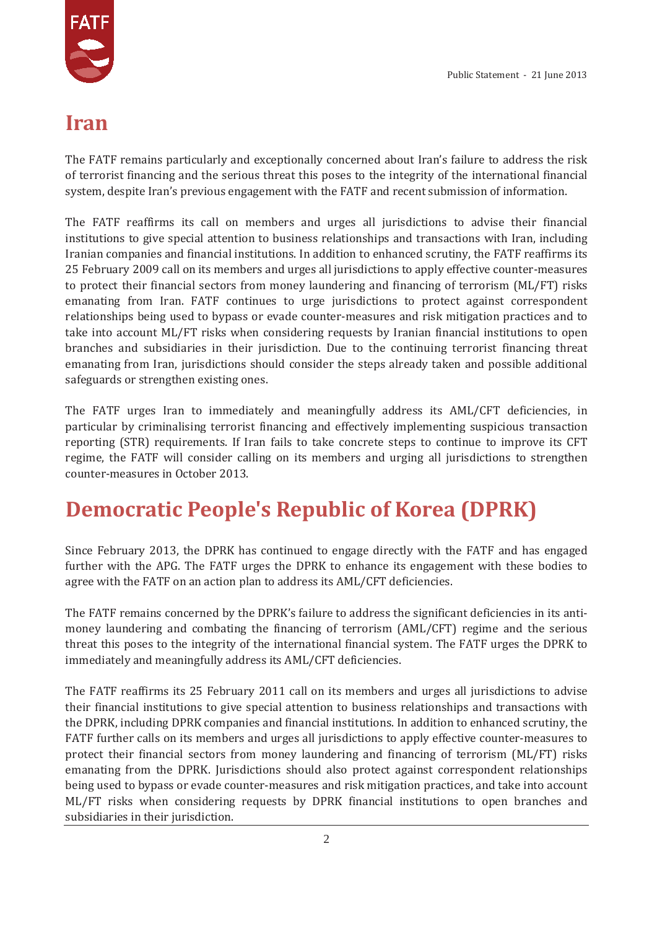

#### **Iran**

The FATF remains particularly and exceptionally concerned about Iran's failure to address the risk of terrorist financing and the serious threat this poses to the integrity of the international financial system, despite Iran's previous engagement with the FATF and recent submission of information.

The FATF reaffirms its call on members and urges all jurisdictions to advise their financial institutions to give special attention to business relationships and transactions with Iran, including Iranian companies and financial institutions. In addition to enhanced scrutiny, the FATF reaffirms its 25 February 2009 call on its members and urges all jurisdictions to apply effective counter-measures to protect their financial sectors from money laundering and financing of terrorism (ML/FT) risks emanating from Iran. FATF continues to urge jurisdictions to protect against correspondent relationships being used to bypass or evade counter-measures and risk mitigation practices and to take into account ML/FT risks when considering requests by Iranian financial institutions to open branches and subsidiaries in their jurisdiction. Due to the continuing terrorist financing threat emanating from Iran, jurisdictions should consider the steps already taken and possible additional safeguards or strengthen existing ones.

The FATF urges Iran to immediately and meaningfully address its AML/CFT deficiencies, in particular by criminalising terrorist financing and effectively implementing suspicious transaction reporting (STR) requirements. If Iran fails to take concrete steps to continue to improve its CFT regime, the FATF will consider calling on its members and urging all jurisdictions to strengthen counter-measures in October 2013.

# **Democratic People's Republic of Korea (DPRK)**

Since February 2013, the DPRK has continued to engage directly with the FATF and has engaged further with the APG. The FATF urges the DPRK to enhance its engagement with these bodies to agree with the FATF on an action plan to address its AML/CFT deficiencies.

The FATF remains concerned by the DPRK's failure to address the significant deficiencies in its antimoney laundering and combating the financing of terrorism (AML/CFT) regime and the serious threat this poses to the integrity of the international financial system. The FATF urges the DPRK to immediately and meaningfully address its AML/CFT deficiencies.

The FATF reaffirms its 25 February 2011 call on its members and urges all jurisdictions to advise their financial institutions to give special attention to business relationships and transactions with the DPRK, including DPRK companies and financial institutions. In addition to enhanced scrutiny, the FATF further calls on its members and urges all jurisdictions to apply effective counter-measures to protect their financial sectors from money laundering and financing of terrorism (ML/FT) risks emanating from the DPRK. Jurisdictions should also protect against correspondent relationships being used to bypass or evade counter-measures and risk mitigation practices, and take into account ML/FT risks when considering requests by DPRK financial institutions to open branches and subsidiaries in their jurisdiction.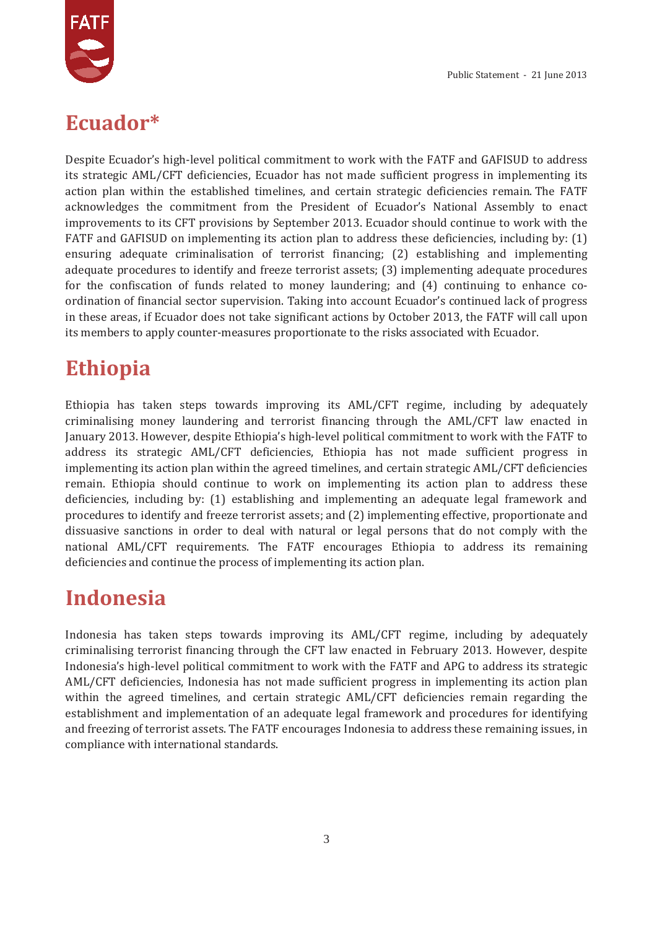

#### **Ecuador\***

Despite Ecuador's high-level political commitment to work with the FATF and GAFISUD to address its strategic AML/CFT deficiencies, Ecuador has not made sufficient progress in implementing its action plan within the established timelines, and certain strategic deficiencies remain. The FATF acknowledges the commitment from the President of Ecuador's National Assembly to enact improvements to its CFT provisions by September 2013. Ecuador should continue to work with the FATF and GAFISUD on implementing its action plan to address these deficiencies, including by: (1) ensuring adequate criminalisation of terrorist financing; (2) establishing and implementing adequate procedures to identify and freeze terrorist assets; (3) implementing adequate procedures for the confiscation of funds related to money laundering; and (4) continuing to enhance coordination of financial sector supervision. Taking into account Ecuador's continued lack of progress in these areas, if Ecuador does not take significant actions by October 2013, the FATF will call upon its members to apply counter-measures proportionate to the risks associated with Ecuador.

# **Ethiopia**

Ethiopia has taken steps towards improving its AML/CFT regime, including by adequately criminalising money laundering and terrorist financing through the AML/CFT law enacted in January 2013. However, despite Ethiopia's high-level political commitment to work with the FATF to address its strategic AML/CFT deficiencies, Ethiopia has not made sufficient progress in implementing its action plan within the agreed timelines, and certain strategic AML/CFT deficiencies remain. Ethiopia should continue to work on implementing its action plan to address these deficiencies, including by: (1) establishing and implementing an adequate legal framework and procedures to identify and freeze terrorist assets; and (2) implementing effective, proportionate and dissuasive sanctions in order to deal with natural or legal persons that do not comply with the national AML/CFT requirements. The FATF encourages Ethiopia to address its remaining deficiencies and continue the process of implementing its action plan.

# **Indonesia**

Indonesia has taken steps towards improving its AML/CFT regime, including by adequately criminalising terrorist financing through the CFT law enacted in February 2013. However, despite Indonesia's high-level political commitment to work with the FATF and APG to address its strategic AML/CFT deficiencies, Indonesia has not made sufficient progress in implementing its action plan within the agreed timelines, and certain strategic AML/CFT deficiencies remain regarding the establishment and implementation of an adequate legal framework and procedures for identifying and freezing of terrorist assets. The FATF encourages Indonesia to address these remaining issues, in compliance with international standards.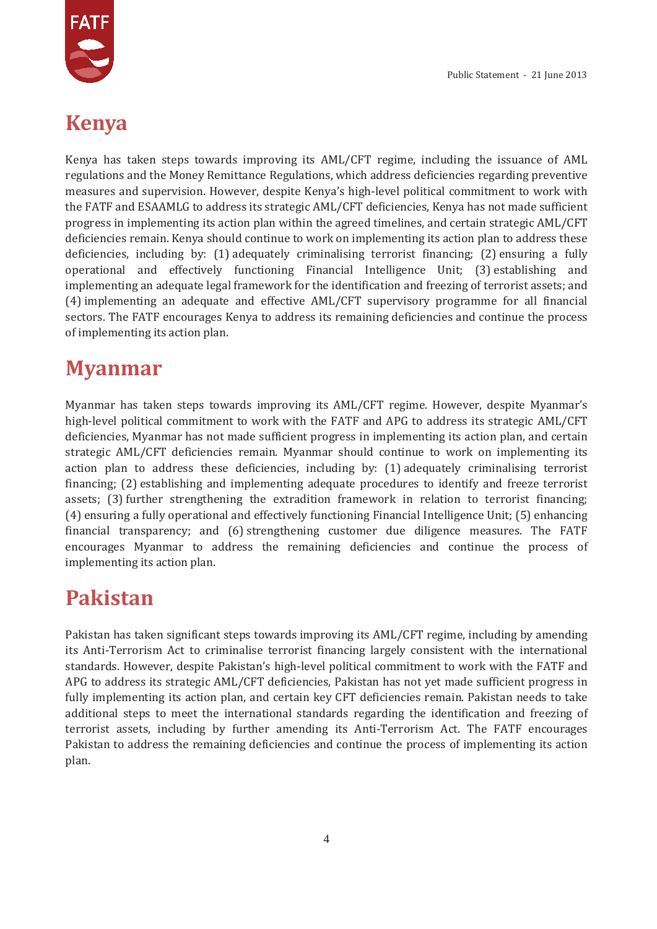

### **Kenya**

Kenya has taken steps towards improving its AML/CFT regime, including the issuance of AML regulations and the Money Remittance Regulations, which address deficiencies regarding preventive measures and supervision. However, despite Kenya's high-level political commitment to work with the FATF and ESAAMLG to address its strategic AML/CFT deficiencies, Kenya has not made sufficient progress in implementing its action plan within the agreed timelines, and certain strategic AML/CFT deficiencies remain. Kenya should continue to work on implementing its action plan to address these deficiencies, including by: (1) adequately criminalising terrorist financing; (2) ensuring a fully operational and effectively functioning Financial Intelligence Unit; (3) establishing and implementing an adequate legal framework for the identification and freezing of terrorist assets; and (4) implementing an adequate and effective AML/CFT supervisory programme for all financial sectors. The FATF encourages Kenya to address its remaining deficiencies and continue the process of implementing its action plan.

#### **Myanmar**

Myanmar has taken steps towards improving its AML/CFT regime. However, despite Myanmar's high-level political commitment to work with the FATF and APG to address its strategic AML/CFT deficiencies, Myanmar has not made sufficient progress in implementing its action plan, and certain strategic AML/CFT deficiencies remain. Myanmar should continue to work on implementing its action plan to address these deficiencies, including by: (1) adequately criminalising terrorist financing; (2) establishing and implementing adequate procedures to identify and freeze terrorist assets; (3) further strengthening the extradition framework in relation to terrorist financing; (4) ensuring a fully operational and effectively functioning Financial Intelligence Unit; (5) enhancing financial transparency; and (6) strengthening customer due diligence measures. The FATF encourages Myanmar to address the remaining deficiencies and continue the process of implementing its action plan.

### **Pakistan**

Pakistan has taken significant steps towards improving its AML/CFT regime, including by amending its Anti-Terrorism Act to criminalise terrorist financing largely consistent with the international standards. However, despite Pakistan's high-level political commitment to work with the FATF and APG to address its strategic AML/CFT deficiencies, Pakistan has not yet made sufficient progress in fully implementing its action plan, and certain key CFT deficiencies remain. Pakistan needs to take additional steps to meet the international standards regarding the identification and freezing of terrorist assets, including by further amending its Anti-Terrorism Act. The FATF encourages Pakistan to address the remaining deficiencies and continue the process of implementing its action plan.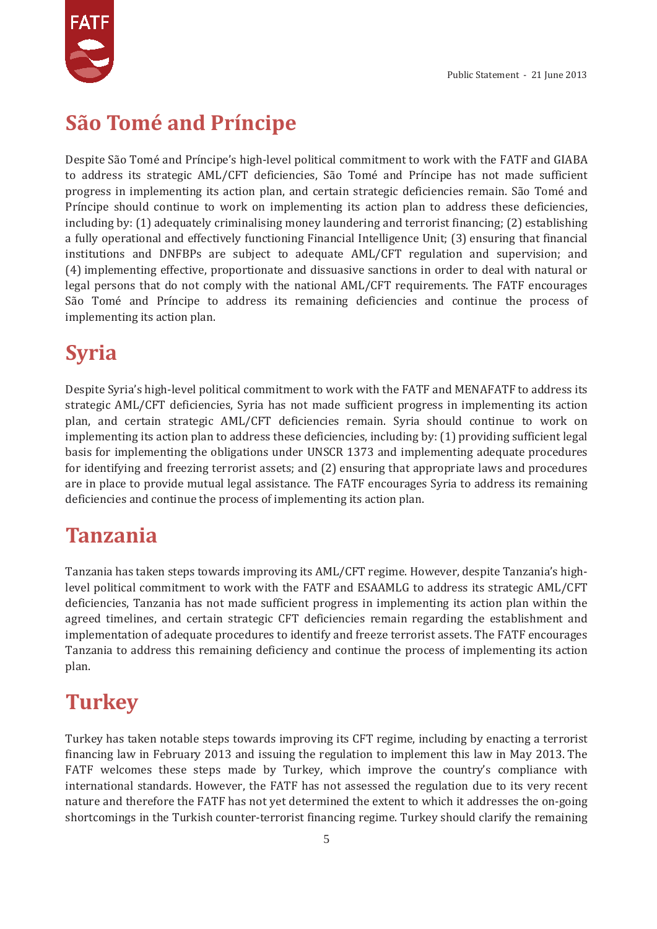

# **São Tomé and Príncipe**

Despite São Tomé and Príncipe's high-level political commitment to work with the FATF and GIABA to address its strategic AML/CFT deficiencies, São Tomé and Príncipe has not made sufficient progress in implementing its action plan, and certain strategic deficiencies remain. São Tomé and Príncipe should continue to work on implementing its action plan to address these deficiencies, including by: (1) adequately criminalising money laundering and terrorist financing; (2) establishing a fully operational and effectively functioning Financial Intelligence Unit; (3) ensuring that financial institutions and DNFBPs are subject to adequate AML/CFT regulation and supervision; and (4) implementing effective, proportionate and dissuasive sanctions in order to deal with natural or legal persons that do not comply with the national AML/CFT requirements. The FATF encourages São Tomé and Príncipe to address its remaining deficiencies and continue the process of implementing its action plan.

# **Syria**

Despite Syria's high-level political commitment to work with the FATF and MENAFATF to address its strategic AML/CFT deficiencies, Syria has not made sufficient progress in implementing its action plan, and certain strategic AML/CFT deficiencies remain. Syria should continue to work on implementing its action plan to address these deficiencies, including by: (1) providing sufficient legal basis for implementing the obligations under UNSCR 1373 and implementing adequate procedures for identifying and freezing terrorist assets; and (2) ensuring that appropriate laws and procedures are in place to provide mutual legal assistance. The FATF encourages Syria to address its remaining deficiencies and continue the process of implementing its action plan.

# **Tanzania**

Tanzania has taken steps towards improving its AML/CFT regime. However, despite Tanzania's highlevel political commitment to work with the FATF and ESAAMLG to address its strategic AML/CFT deficiencies, Tanzania has not made sufficient progress in implementing its action plan within the agreed timelines, and certain strategic CFT deficiencies remain regarding the establishment and implementation of adequate procedures to identify and freeze terrorist assets. The FATF encourages Tanzania to address this remaining deficiency and continue the process of implementing its action plan.

# **Turkey**

Turkey has taken notable steps towards improving its CFT regime, including by enacting a terrorist financing law in February 2013 and issuing the regulation to implement this law in May 2013. The FATF welcomes these steps made by Turkey, which improve the country's compliance with international standards. However, the FATF has not assessed the regulation due to its very recent nature and therefore the FATF has not yet determined the extent to which it addresses the on-going shortcomings in the Turkish counter-terrorist financing regime. Turkey should clarify the remaining